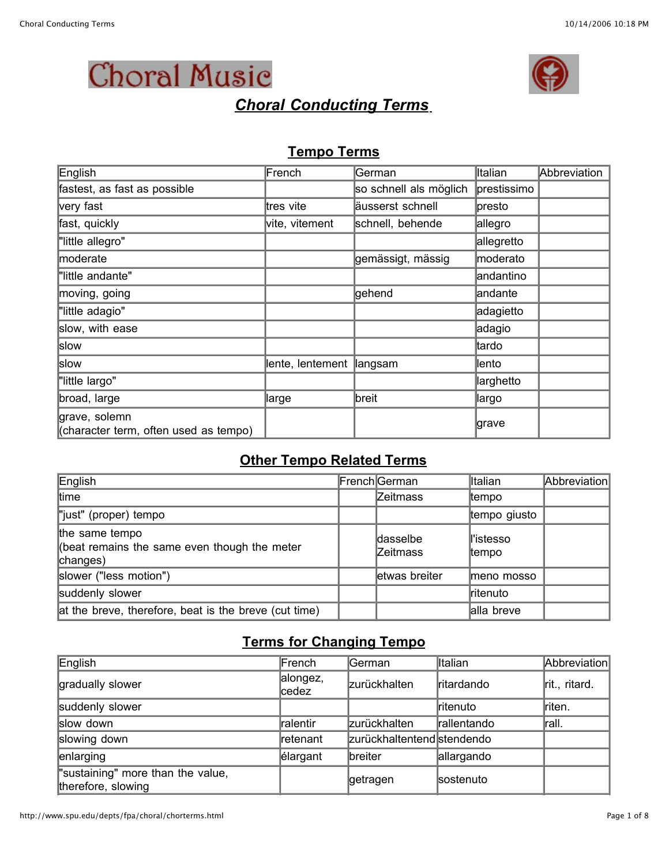

# *Choral Conducting Terms*



#### **Tempo Terms**

| English                                                | French                    | German                 | Italian     | Abbreviation |
|--------------------------------------------------------|---------------------------|------------------------|-------------|--------------|
| fastest, as fast as possible                           |                           | so schnell als möglich | prestissimo |              |
| very fast                                              | ltres ∨ite                | äusserst schnell       | ∣presto     |              |
| fast, quickly                                          | vite, vitement            | schnell, behende       | allegro     |              |
| "little allegro"                                       |                           |                        | allegretto  |              |
| moderate                                               |                           | gemässigt, mässig      | moderato    |              |
| "little andante"                                       |                           |                        | andantino   |              |
| moving, going                                          |                           | gehend                 | andante     |              |
| "little adagio"                                        |                           |                        | adagietto   |              |
| slow, with ease                                        |                           |                        | adagio      |              |
| slow                                                   |                           |                        | ltardo      |              |
| slow                                                   | lente, lentement  langsam |                        | ∥ento       |              |
| "little largo"                                         |                           |                        | ∥arghetto   |              |
| broad, large                                           | large                     | breit                  | llargo      |              |
| grave, solemn<br>(character term, often used as tempo) |                           |                        | ∣grave      |              |

#### **Other Tempo Related Terms**

| English                                                                    | French German               | <b>Italian</b>       | Abbreviation |
|----------------------------------------------------------------------------|-----------------------------|----------------------|--------------|
| time                                                                       | <b>Zeitmass</b>             | ltempo               |              |
| "just" (proper) tempo                                                      |                             | tempo giusto         |              |
| the same tempo<br>(beat remains the same even though the meter<br>changes) | dasselbe<br><b>Zeitmass</b> | ll'istesso<br>ltempo |              |
| slower ("less motion")                                                     | letwas breiter              | lmeno mosso          |              |
| suddenly slower                                                            |                             | ritenuto             |              |
| at the breve, therefore, beat is the breve (cut time)                      |                             | alla breve           |              |

### **Terms for Changing Tempo**

| English                                                 | French            | <b>German</b>              | <b>Italian</b>    | Abbreviation  |
|---------------------------------------------------------|-------------------|----------------------------|-------------------|---------------|
| gradually slower                                        | alongez,<br>cedez | <b>zurückhalten</b>        | <b>ritardando</b> | rit., ritard. |
| suddenly slower                                         |                   |                            | ritenuto          | riten.        |
| slow down                                               | ralentir          | zurückhalten               | Irallentando      | rall.         |
| slowing down                                            | Iretenant         | zurückhaltentend stendendo |                   |               |
| enlarging                                               | elargant          | <b>breiter</b>             | allargando        |               |
| "sustaining" more than the value,<br>therefore, slowing |                   | getragen                   | sostenuto         |               |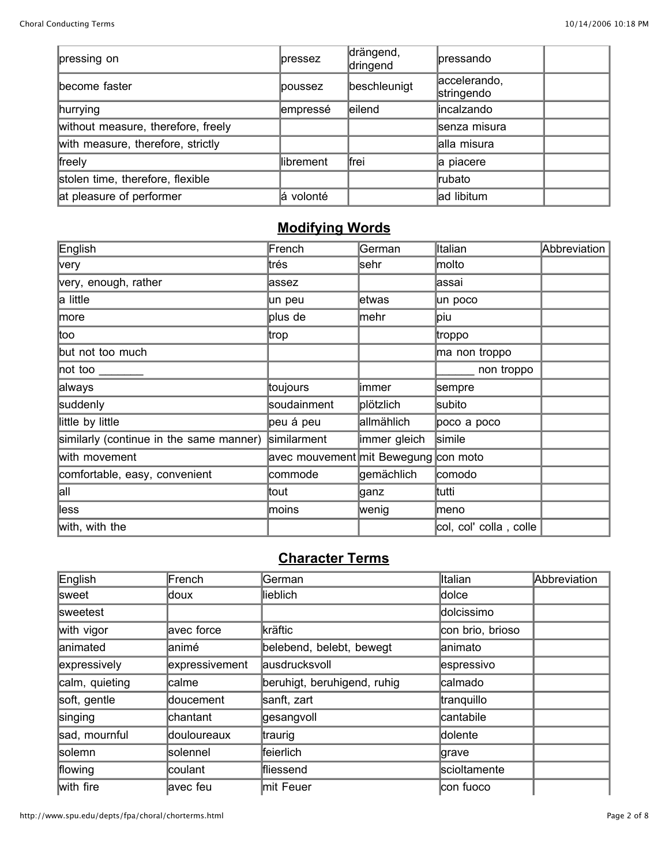| pressing on                        | <b>lpressez</b> | drängend,<br>dringend | lpressando                 |  |
|------------------------------------|-----------------|-----------------------|----------------------------|--|
| become faster                      | lpoussez        | beschleunigt          | accelerando,<br>stringendo |  |
| hurrying                           | empressé        | eilend                | lincalzando                |  |
| without measure, therefore, freely |                 |                       | senza misura               |  |
| with measure, therefore, strictly  |                 |                       | alla misura                |  |
| freely                             | llibrement      | ∦frei                 | a piacere                  |  |
| stolen time, therefore, flexible   |                 |                       | rubato                     |  |
| at pleasure of performer           | lá volonté      |                       | ad libitum                 |  |

### **Modifying Words**

| English                                 | French                               | German       | ∥talian                | Abbreviation |
|-----------------------------------------|--------------------------------------|--------------|------------------------|--------------|
| very                                    | ltrés                                | sehr         | molto                  |              |
| very, enough, rather                    | assez                                |              | assai                  |              |
| a little                                | un peu                               | letwas       | un poco                |              |
| more                                    | plus de                              | ∣mehr        | ∣piu                   |              |
| ∣too                                    | ∣trop                                |              | ∥troppo                |              |
| but not too much                        |                                      |              | ma non troppo          |              |
| not too                                 |                                      |              | non troppo             |              |
| always                                  | ∣toujours                            | limmer       | sempre                 |              |
| suddenly                                | soudainment                          | ∣plötzlich   | subito                 |              |
| little by little                        | peu á peu                            | allmählich   | poco a poco            |              |
| similarly (continue in the same manner) | similarment                          | immer gleich | simile                 |              |
| with movement                           | avec mouvement mit Bewegung con moto |              |                        |              |
| comfortable, easy, convenient           | commode                              | gemächlich   | comodo                 |              |
| all                                     | ltout                                | ∣ganz        | ∥tutti                 |              |
| ∥ess                                    | moins                                | wenig        | ∣meno                  |              |
| with, with the                          |                                      |              | col, col' colla, colle |              |

### **Character Terms**

| English          | French         | German                      | Italian          | Abbreviation |
|------------------|----------------|-----------------------------|------------------|--------------|
| <b>Sweet</b>     | ldoux          | lieblich                    | dolce            |              |
| <b>Isweetest</b> |                |                             | dolcissimo       |              |
| with vigor       | avec force     | kräftic                     | con brio, brioso |              |
| lanimated        | lanimé         | belebend, belebt, bewegt    | lanimato         |              |
| expressively     | expressivement | ausdrucksvoll               | espressivo       |              |
| calm, quieting   | calme          | beruhigt, beruhigend, ruhig | calmado          |              |
| soft, gentle     | doucement      | sanft, zart                 | tranquillo       |              |
| singing          | chantant       | gesangvoll                  | cantabile        |              |
| sad, mournful    | douloureaux    | traurig                     | dolente          |              |
| solemn           | solennel       | lfeierlich                  | grave            |              |
| flowing          | lcoulant       | ffliessend                  | scioltamente     |              |
| with fire        | avec feu       | mit Feuer                   | con fuoco        |              |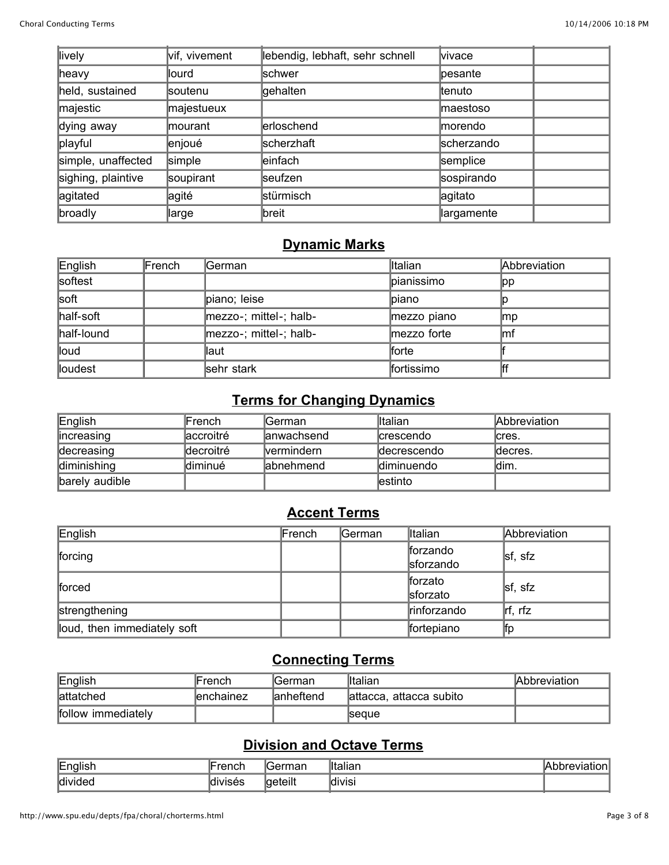| llively            | vif, vivement  | lebendig, lebhaft, sehr schnell | lvivace           |  |
|--------------------|----------------|---------------------------------|-------------------|--|
| heavy              | llourd         | <b>schwer</b>                   | pesante           |  |
| held, sustained    | <b>soutenu</b> | gehalten                        | ltenuto           |  |
| majestic           | majestueux     |                                 | <b>Imaestoso</b>  |  |
| dying away         | lmourant       | lerloschend                     | <b>Imorendo</b>   |  |
| playful            | enjoué         | scherzhaft                      | scherzando        |  |
| simple, unaffected | simple         | leinfach                        | semplice          |  |
| sighing, plaintive | soupirant      | lseufzen                        | sospirando        |  |
| agitated           | ∣agité         | stürmisch                       | agitato           |  |
| broadly            | large          | breit                           | <b>largamente</b> |  |

### **Dynamic Marks**

| English    | French | German                     | Italian     | Abbreviation |
|------------|--------|----------------------------|-------------|--------------|
| softest    |        |                            | pianissimo  | ∥pp          |
| soft       |        | piano; leise               | lpiano      |              |
| half-soft  |        | $ mezzo-$ ; mittel-; halb- | mezzo piano | ∣mp          |
| half-lound |        | mezzo-; mittel-; halb-     | mezzo forte | lmf          |
| lloud      |        | $\ $ aut                   | lforte      |              |
| lloudest   |        | sehr stark                 | fortissimo  |              |

## **Terms for Changing Dynamics**

| English        | lFrench    | lGerman.           | lltalian            | <b>Abbreviation</b> |
|----------------|------------|--------------------|---------------------|---------------------|
| lincreasing    | laccroitré | lanwachsend        | <b>Icrescendo</b>   | cres.               |
| decreasing     | ldecroitré | <b>Ivermindern</b> | <b>Idecrescendo</b> | ldecres.            |
| diminishing    | diminué    | labnehmend         | <b>Idiminuendo</b>  | ldim.               |
| barely audible |            |                    | lestinto            |                     |

### **Accent Terms**

| English                     | French | lGerman. | <b>Italian</b>        | Abbreviation |
|-----------------------------|--------|----------|-----------------------|--------------|
| forcing                     |        |          | forzando<br>sforzando | sf, sfz      |
| forced                      |        |          | ∥forzato<br>sforzato  | sf, sfz      |
| strengthening               |        |          | rinforzando           | lrf, rfz     |
| loud, then immediately soft |        |          | fortepiano            | ∥tp          |

### **Connecting Terms**

| English            | ⊪rench     | lGerman    | <b>I</b> talian         | Abbreviation |
|--------------------|------------|------------|-------------------------|--------------|
| lattatched         | lenchainez | lanheftend | attacca, attacca subito |              |
| follow immediately |            |            | <b>Seque</b>            |              |

### **Division and Octave Terms**

| English | ll-ronch             | 'ormon       | <u>IItalian</u> | ۱Δ      |
|---------|----------------------|--------------|-----------------|---------|
|         | <b>GIILI</b>         | udi.         | udi.            | vialion |
| divided | . .<br><b>IVISES</b> | <br>lgeteilt | <b>divisi</b>   |         |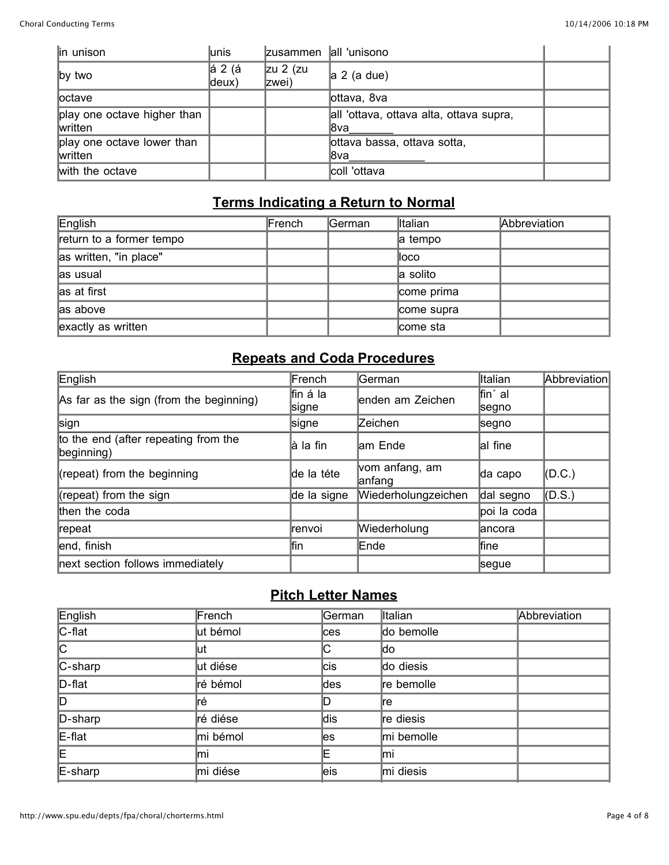| in unison                                      | lunis            | Izusammen         | all 'unisono                                    |  |
|------------------------------------------------|------------------|-------------------|-------------------------------------------------|--|
| $\mathsf{I}$ by two                            | lá 2 (á<br>deux) | zu 2 (zu<br>zwei) | a 2 (a due)                                     |  |
| loctave                                        |                  |                   | lottava, 8va                                    |  |
| play one octave higher than<br><b>Iwritten</b> |                  |                   | all 'ottava, ottava alta, ottava supra,<br>l8va |  |
| play one octave lower than<br>written          |                  |                   | lottava bassa, ottava sotta,<br>l8va            |  |
| with the octave                                |                  |                   | coll 'ottava                                    |  |

### **Terms Indicating a Return to Normal**

| English                  | French | German | lltalian   | Abbreviation |
|--------------------------|--------|--------|------------|--------------|
| return to a former tempo |        |        | a tempo    |              |
| as written, "in place"   |        |        | ∥oco       |              |
| as usual                 |        |        | a solito   |              |
| as at first              |        |        | come prima |              |
| las above                |        |        | come supra |              |
| exactly as written       |        |        | come sta   |              |

## **Repeats and Coda Procedures**

| English                                                             | French             | lGerman                  | lltalian          | Abbreviation |
|---------------------------------------------------------------------|--------------------|--------------------------|-------------------|--------------|
| As far as the sign (from the beginning)                             | ∣fin á la<br>signe | enden am Zeichen         | fin' al<br> segno |              |
| sign                                                                | signe              | Zeichen                  | ∣segno            |              |
| to the end (after repeating from the<br>$begin{bmatrix}$ beginning) | là la fin          | am Ende                  | al fine           |              |
| (repeat) from the beginning                                         | de la téte         | vom anfang, am<br>anfang | da capo           | $($ D.C. $)$ |
| (repeat) from the sign                                              | de la signe        | Wiederholungzeichen      | dal segno         | $($ D.S. $)$ |
| then the coda                                                       |                    |                          | poi la coda       |              |
| repeat                                                              | lrenvoi            | Wiederholung             | lancora           |              |
| end, finish                                                         | lfin               | Ende                     | <b>fine</b>       |              |
| next section follows immediately                                    |                    |                          | segue             |              |

#### **Pitch Letter Names**

| English | French   | German | Italian    | Abbreviation |
|---------|----------|--------|------------|--------------|
| C-flat  | ut bémol | ces    | do bemolle |              |
| C       | lut      | IС     | ldo        |              |
| C-sharp | ut diése | lcis   | do diesis  |              |
| D-flat  | ré bémol | des    | re bemolle |              |
| D       | lré      | D      | ⊪e         |              |
| D-sharp | ré diése | ldis   | re diesis  |              |
| E-flat  | mi bémol | les    | mi bemolle |              |
| E       | lmi      | Ε      | lmi        |              |
| E-sharp | mi diése | leis   | mi diesis  |              |
|         |          |        |            |              |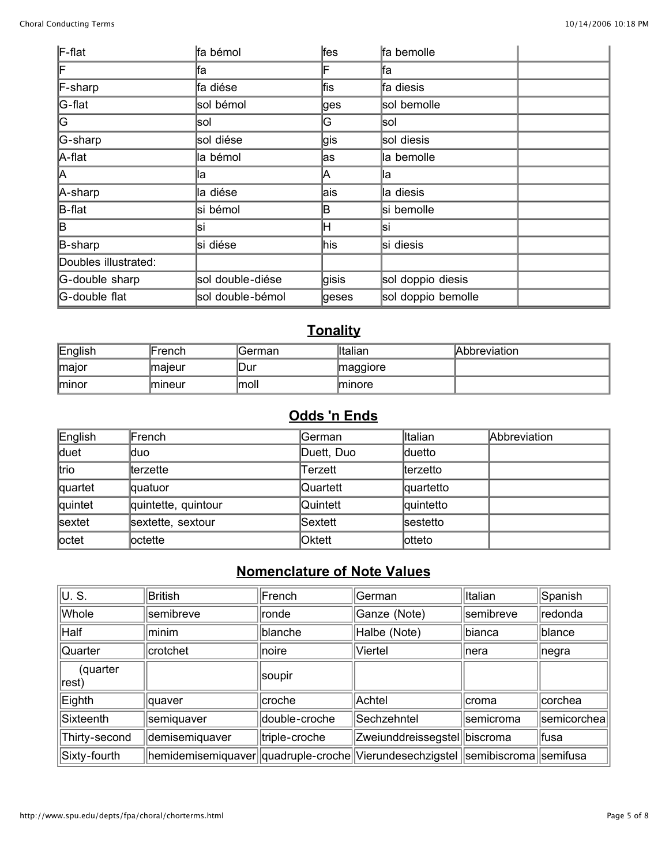| F-flat               | fa bémol         | ∤fes  | fa bemolle         |  |
|----------------------|------------------|-------|--------------------|--|
| F                    | lfa              | F     | lfa                |  |
| F-sharp              | fa diése         | ∣fis  | fa diesis          |  |
| G-flat               | sol bémol        | ges   | sol bemolle        |  |
| G                    | lsol             | G     | lsol               |  |
| G-sharp              | sol diése        | ∣gis  | sol diesis         |  |
| A-flat               | la bémol         | las   | la bemolle         |  |
| A                    | llа              | ΙA    | ∥a                 |  |
| A-sharp              | la diése         | lais  | la diesis          |  |
| B-flat               | si bémol         | B     | si bemolle         |  |
| lB.                  | lsi              | ℍ     | lsi                |  |
| B-sharp              | si diése         | ∣his  | si diesis          |  |
| Doubles illustrated: |                  |       |                    |  |
| G-double sharp       | sol double-diése | gisis | sol doppio diesis  |  |
| G-double flat        | sol double-bémol | geses | sol doppio bemolle |  |

# **Tonality**

| English       | <b>IFrench</b> | lGerman      | <b>Iltalian</b> | Abbreviation |
|---------------|----------------|--------------|-----------------|--------------|
| <b>Imajor</b> | <b>Imaleur</b> | lDur         | maggiore        |              |
| <b>Iminor</b> | <b>Imineur</b> | <b>Imoli</b> | lminore         |              |

#### **Odds 'n Ends**

| English | French              | <b>German</b> | <b>Italian</b> | Abbreviation |
|---------|---------------------|---------------|----------------|--------------|
| duet    | lduo                | Duett, Duo    | duetto         |              |
| ltrio   | terzette            | Terzett       | terzetto       |              |
| quartet | quatuor             | Quartett      | quartetto      |              |
| quintet | quintette, quintour | Quintett      | quintetto      |              |
| sextet  | sextette, sextour   | Sextett       | sestetto       |              |
| loctet  | loctette            | lOktett       | lotteto        |              |

#### **Nomenclature of Note Values**

| lu. s.             | British                                                                            | French        | German                       | Italian   | Spanish     |
|--------------------|------------------------------------------------------------------------------------|---------------|------------------------------|-----------|-------------|
| Whole              | semibreve                                                                          | ronde         | Ganze (Note)                 | semibreve | redonda     |
| Half               | minim                                                                              | blanche       | Halbe (Note)                 | bianca    | blance      |
| Quarter            | crotchet                                                                           | noire         | Viertel                      | Inera     | negra       |
| (quarter<br> rest) |                                                                                    | soupir        |                              |           |             |
| Eighth             | <i>c</i> uaver                                                                     | croche        | Achtel                       | Icroma    | corchea     |
| Sixteenth          | semiquaver                                                                         | double-croche | Sechzehntel                  | semicroma | semicorchea |
| Thirty-second      | demisemiquaver                                                                     | triple-croche | Zweiunddreissegstel biscroma |           | fusa        |
| Sixty-fourth       | hemidemisemiquaver  quadruple-croche  Vierundesechzigstel   semibiscroma  semifusa |               |                              |           |             |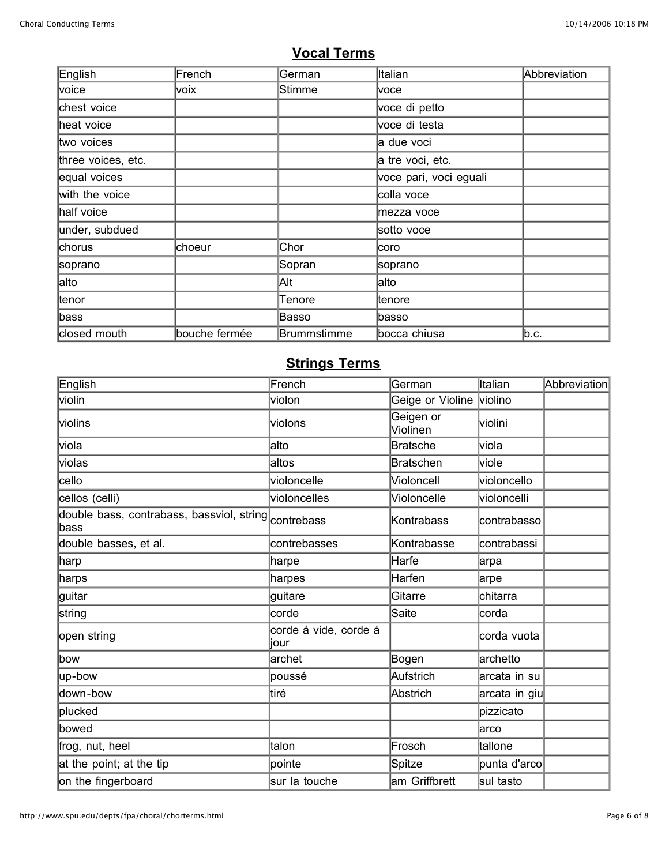### **Vocal Terms**

| English            | French        | German      | Italian                | Abbreviation |
|--------------------|---------------|-------------|------------------------|--------------|
| voice              | voix          | Stimme      | voce                   |              |
| chest voice        |               |             | voce di petto          |              |
| heat voice         |               |             | voce di testa          |              |
| two voices         |               |             | a due voci             |              |
| three voices, etc. |               |             | a tre voci, etc.       |              |
| equal voices       |               |             | voce pari, voci eguali |              |
| with the voice     |               |             | colla voce             |              |
| half voice         |               |             | mezza voce             |              |
| under, subdued     |               |             | sotto voce             |              |
| chorus             | choeur        | Chor        | lcoro                  |              |
| soprano            |               | Sopran      | soprano                |              |
| alto               |               | Alt         | alto                   |              |
| ltenor             |               | Tenore      | ltenore                |              |
| ∣bass              |               | Basso       | ∣basso                 |              |
| closed mouth       | bouche fermée | Brummstimme | bocca chiusa           | ∣b.c.        |

# **Strings Terms**

| English                                                       | French                        | German                | Italian       | Abbreviation |
|---------------------------------------------------------------|-------------------------------|-----------------------|---------------|--------------|
| <b>violin</b>                                                 | violon                        | Geige or Violine      | violino       |              |
| <b>violins</b>                                                | violons                       | Geigen or<br>Violinen | lviolini      |              |
| lviola                                                        | lalto                         | <b>Bratsche</b>       | viola         |              |
| violas                                                        | altos                         | <b>Bratschen</b>      | viole         |              |
| cello                                                         | violoncelle                   | Violoncell            | violoncello   |              |
| cellos (celli)                                                | violoncelles                  | Violoncelle           | violoncelli   |              |
| double bass, contrabass, bassviol, string contrebass<br>∣bass |                               | Kontrabass            | contrabasso   |              |
| double basses, et al.                                         | contrebasses                  | Kontrabasse           | contrabassi   |              |
| ∣harp                                                         | harpe                         | Harfe                 | arpa          |              |
| harps                                                         | harpes                        | Harfen                | arpe          |              |
| guitar                                                        | guitare                       | Gitarre               | chitarra      |              |
| string                                                        | corde                         | Saite                 | corda         |              |
| open string                                                   | corde á vide, corde á<br>iour |                       | corda vuota   |              |
| bow                                                           | archet                        | Bogen                 | archetto      |              |
| up-bow                                                        | poussé                        | Aufstrich             | arcata in su  |              |
| down-bow                                                      | ∣tiré                         | Abstrich              | arcata in giu |              |
| plucked                                                       |                               |                       | pizzicato     |              |
| bowed                                                         |                               |                       | larco         |              |
| frog, nut, heel                                               | ltalon                        | Frosch                | tallone       |              |
| at the point; at the tip                                      | pointe                        | Spitze                | punta d'arcol |              |
| on the fingerboard                                            | sur la touche                 | am Griffbrett         | sul tasto     |              |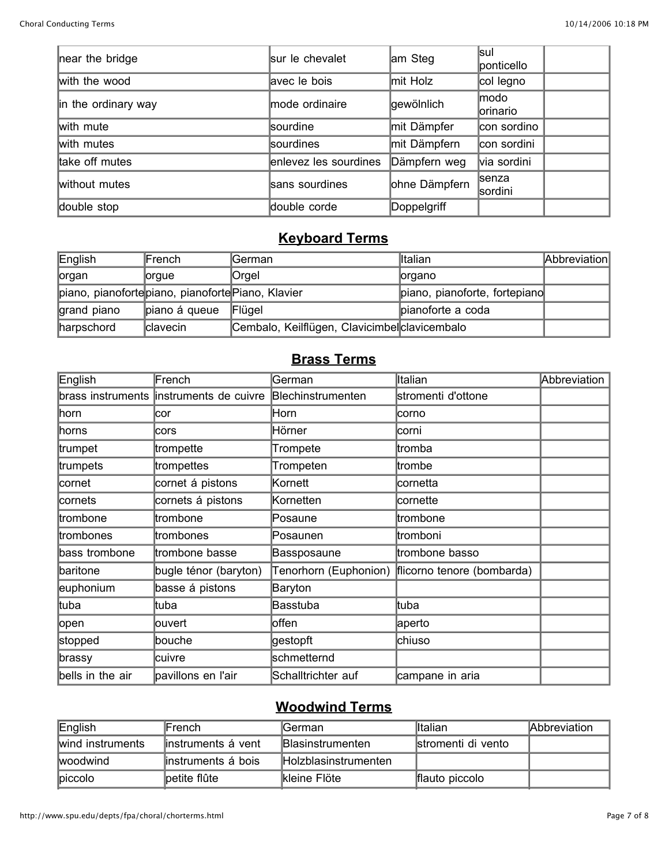ù.

| near the bridge     | sur le chevalet       | am Steg       | lsul<br>ponticello        |  |
|---------------------|-----------------------|---------------|---------------------------|--|
| with the wood       | avec le bois          | mit Holz      | col legno                 |  |
| in the ordinary way | mode ordinaire        | gewölnlich    | modo<br>lorinario         |  |
| with mute           | sourdine              | mit Dämpfer   | con sordino               |  |
| with mutes          | sourdines             | mit Dämpfern  | con sordini               |  |
| take off mutes      | enlevez les sourdines | Dämpfern weg  | via sordini               |  |
| without mutes       | sans sourdines        | ohne Dämpfern | <b>Isenza</b><br>lsordini |  |
| double stop         | double corde          | Doppelgriff   |                           |  |

## **Keyboard Terms**

| English                                           | French        | <b>IGerman</b>                                | <b>Iltalian</b>               | Abbreviation |
|---------------------------------------------------|---------------|-----------------------------------------------|-------------------------------|--------------|
| lorgan                                            | <b>lorgue</b> | <b>Orgel</b>                                  | lorgano                       |              |
| piano, pianofortepiano, pianoforte Piano, Klavier |               |                                               | piano, pianoforte, fortepiano |              |
| grand piano                                       | piano á queue | Flügel                                        | pianoforte a coda             |              |
| harpschord                                        | clavecin      | Cembalo, Keilflügen, Clavicimbel clavicembalo |                               |              |

### **Brass Terms**

| English           | French                | German                | Italian                    | Abbreviation |
|-------------------|-----------------------|-----------------------|----------------------------|--------------|
| brass instruments | instruments de cuivre | Blechinstrumenten     | stromenti d'ottone         |              |
| ∣horn             | cor                   | Horn                  | lcorno                     |              |
| ∣horns            | cors                  | Hörner                | lcorni                     |              |
| trumpet           | trompette             | Trompete              | ltromba                    |              |
| trumpets          | trompettes            | Trompeten             | ltrombe                    |              |
| cornet            | cornet á pistons      | Kornett               | cornetta                   |              |
| cornets           | cornets á pistons     | Kornetten             | cornette                   |              |
| trombone          | trombone              | Posaune               | trombone                   |              |
| trombones         | trombones             | Posaunen              | tromboni                   |              |
| bass trombone     | trombone basse        | Bassposaune           | trombone basso             |              |
| baritone          | bugle ténor (baryton) | Tenorhorn (Euphonion) | flicorno tenore (bombarda) |              |
| euphonium         | basse á pistons       | Baryton               |                            |              |
| ltuba             | ltuba                 | <b>Basstuba</b>       | ltuba                      |              |
| open              | ouvert                | loffen                | aperto                     |              |
| stopped           | bouche                | gestopft              | chiuso                     |              |
| brassy            | cuivre                | schmetternd           |                            |              |
| bells in the air  | pavillons en l'air    | Schalltrichter auf    | campane in aria            |              |

## **Woodwind Terms**

| English          | lFrench             | lGerman.                     | <b>Iltalian</b>    | Abbreviation |
|------------------|---------------------|------------------------------|--------------------|--------------|
| wind instruments | linstruments á vent | <b>Blasinstrumenten</b>      | stromenti di vento |              |
| <b>Iwoodwind</b> | linstruments á bois | <b>IHolzblasinstrumenten</b> |                    |              |
| <b>piccolo</b>   | petite flûte        | <b>Ikleine Flöte</b>         | flauto piccolo     |              |